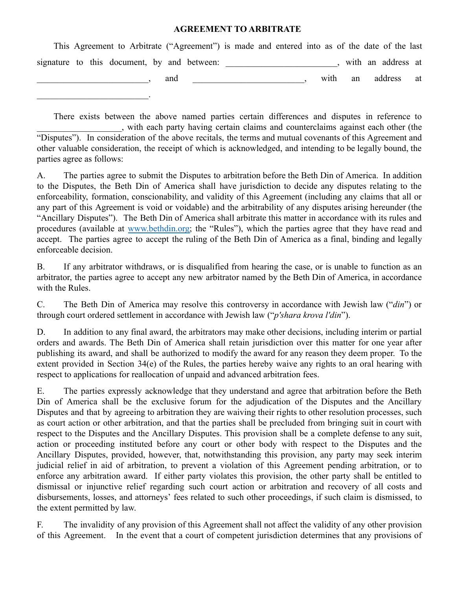## **AGREEMENT TO ARBITRATE**

|  |  |  |     | This Agreement to Arbitrate ("Agreement") is made and entered into as of the date of the last |  |  |      |    |                    |  |
|--|--|--|-----|-----------------------------------------------------------------------------------------------|--|--|------|----|--------------------|--|
|  |  |  |     | signature to this document, by and between:                                                   |  |  |      |    | with an address at |  |
|  |  |  | and |                                                                                               |  |  | with | an | address at         |  |
|  |  |  |     |                                                                                               |  |  |      |    |                    |  |

There exists between the above named parties certain differences and disputes in reference to \_\_\_\_\_\_\_\_\_\_\_\_\_\_\_\_\_\_\_, with each party having certain claims and counterclaims against each other (the "Disputes"). In consideration of the above recitals, the terms and mutual covenants of this Agreement and other valuable consideration, the receipt of which is acknowledged, and intending to be legally bound, the parties agree as follows:

A. The parties agree to submit the Disputes to arbitration before the Beth Din of America. In addition to the Disputes, the Beth Din of America shall have jurisdiction to decide any disputes relating to the enforceability, formation, conscionability, and validity of this Agreement (including any claims that all or any part of this Agreement is void or voidable) and the arbitrability of any disputes arising hereunder (the "Ancillary Disputes"). The Beth Din of America shall arbitrate this matter in accordance with its rules and procedures (available at [www.bethdin.org;](http://www.bethdin.org) the "Rules"), which the parties agree that they have read and accept. The parties agree to accept the ruling of the Beth Din of America as a final, binding and legally enforceable decision.

B. If any arbitrator withdraws, or is disqualified from hearing the case, or is unable to function as an arbitrator, the parties agree to accept any new arbitrator named by the Beth Din of America, in accordance with the Rules.

C. The Beth Din of America may resolve this controversy in accordance with Jewish law ("*din*") or through court ordered settlement in accordance with Jewish law ("*p'shara krova l'din*").

D. In addition to any final award, the arbitrators may make other decisions, including interim or partial orders and awards. The Beth Din of America shall retain jurisdiction over this matter for one year after publishing its award, and shall be authorized to modify the award for any reason they deem proper. To the extent provided in Section 34(e) of the Rules, the parties hereby waive any rights to an oral hearing with respect to applications for reallocation of unpaid and advanced arbitration fees.

E. The parties expressly acknowledge that they understand and agree that arbitration before the Beth Din of America shall be the exclusive forum for the adjudication of the Disputes and the Ancillary Disputes and that by agreeing to arbitration they are waiving their rights to other resolution processes, such as court action or other arbitration, and that the parties shall be precluded from bringing suit in court with respect to the Disputes and the Ancillary Disputes. This provision shall be a complete defense to any suit, action or proceeding instituted before any court or other body with respect to the Disputes and the Ancillary Disputes, provided, however, that, notwithstanding this provision, any party may seek interim judicial relief in aid of arbitration, to prevent a violation of this Agreement pending arbitration, or to enforce any arbitration award. If either party violates this provision, the other party shall be entitled to dismissal or injunctive relief regarding such court action or arbitration and recovery of all costs and disbursements, losses, and attorneys' fees related to such other proceedings, if such claim is dismissed, to the extent permitted by law.

F. The invalidity of any provision of this Agreement shall not affect the validity of any other provision of this Agreement. In the event that a court of competent jurisdiction determines that any provisions of